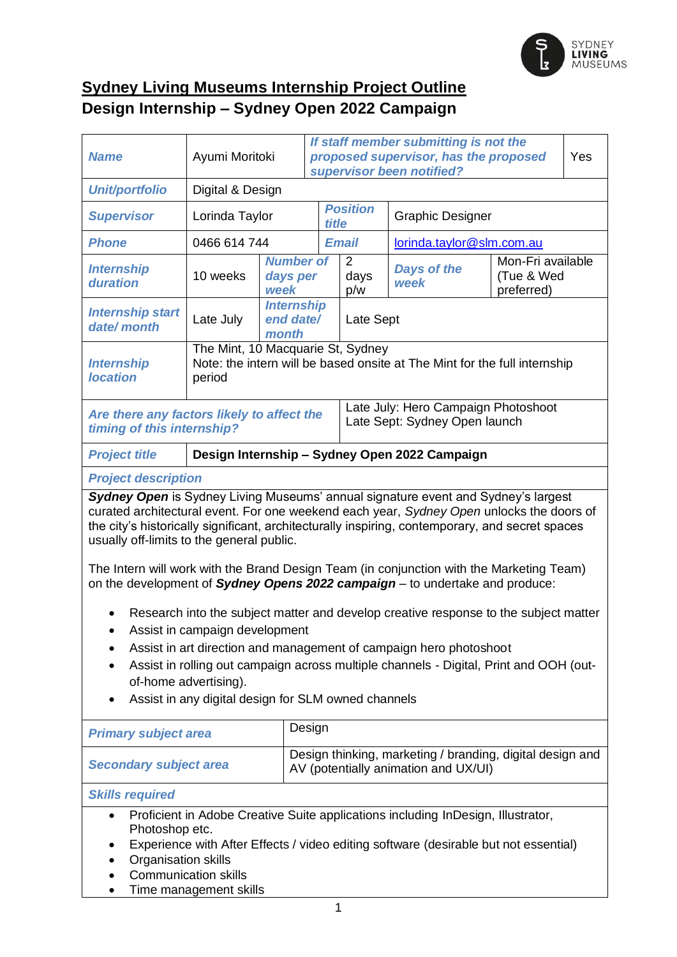

## **Sydney Living Museums Internship Project Outline Design Internship – Sydney Open 2022 Campaign**

| <b>Name</b>                                                                                                                                                                                                                                                                                                                                                            |                                                                                                                          | If staff member submitting is not the<br>proposed supervisor, has the proposed<br>Ayumi Moritoki<br>supervisor been notified? |                                                                                                   |                 | Yes                                                                  |                                               |  |
|------------------------------------------------------------------------------------------------------------------------------------------------------------------------------------------------------------------------------------------------------------------------------------------------------------------------------------------------------------------------|--------------------------------------------------------------------------------------------------------------------------|-------------------------------------------------------------------------------------------------------------------------------|---------------------------------------------------------------------------------------------------|-----------------|----------------------------------------------------------------------|-----------------------------------------------|--|
| <b>Unit/portfolio</b>                                                                                                                                                                                                                                                                                                                                                  | Digital & Design                                                                                                         |                                                                                                                               |                                                                                                   |                 |                                                                      |                                               |  |
| <b>Supervisor</b>                                                                                                                                                                                                                                                                                                                                                      | Lorinda Taylor                                                                                                           |                                                                                                                               | title                                                                                             | <b>Position</b> | <b>Graphic Designer</b>                                              |                                               |  |
| <b>Phone</b>                                                                                                                                                                                                                                                                                                                                                           | 0466 614 744                                                                                                             |                                                                                                                               |                                                                                                   | <b>Email</b>    | lorinda.taylor@slm.com.au                                            |                                               |  |
| <b>Internship</b><br>duration                                                                                                                                                                                                                                                                                                                                          | 10 weeks                                                                                                                 | days per<br>week                                                                                                              | <b>Number of</b>                                                                                  |                 | <b>Days of the</b><br>week                                           | Mon-Fri available<br>(Tue & Wed<br>preferred) |  |
| <b>Internship start</b><br>date/month                                                                                                                                                                                                                                                                                                                                  | Late July                                                                                                                | end date/<br>month                                                                                                            | <b>Internship</b>                                                                                 |                 | Late Sept                                                            |                                               |  |
| <b>Internship</b><br><b>location</b>                                                                                                                                                                                                                                                                                                                                   | The Mint, 10 Macquarie St, Sydney<br>Note: the intern will be based onsite at The Mint for the full internship<br>period |                                                                                                                               |                                                                                                   |                 |                                                                      |                                               |  |
| Are there any factors likely to affect the<br>timing of this internship?                                                                                                                                                                                                                                                                                               |                                                                                                                          |                                                                                                                               |                                                                                                   |                 | Late July: Hero Campaign Photoshoot<br>Late Sept: Sydney Open launch |                                               |  |
| Design Internship - Sydney Open 2022 Campaign<br><b>Project title</b>                                                                                                                                                                                                                                                                                                  |                                                                                                                          |                                                                                                                               |                                                                                                   |                 |                                                                      |                                               |  |
| <b>Project description</b>                                                                                                                                                                                                                                                                                                                                             |                                                                                                                          |                                                                                                                               |                                                                                                   |                 |                                                                      |                                               |  |
| Sydney Open is Sydney Living Museums' annual signature event and Sydney's largest<br>curated architectural event. For one weekend each year, Sydney Open unlocks the doors of<br>the city's historically significant, architecturally inspiring, contemporary, and secret spaces<br>usually off-limits to the general public.                                          |                                                                                                                          |                                                                                                                               |                                                                                                   |                 |                                                                      |                                               |  |
| The Intern will work with the Brand Design Team (in conjunction with the Marketing Team)<br>on the development of Sydney Opens 2022 campaign - to undertake and produce:                                                                                                                                                                                               |                                                                                                                          |                                                                                                                               |                                                                                                   |                 |                                                                      |                                               |  |
| Research into the subject matter and develop creative response to the subject matter<br>Assist in campaign development<br>Assist in art direction and management of campaign hero photoshoot<br>Assist in rolling out campaign across multiple channels - Digital, Print and OOH (out-<br>of-home advertising).<br>Assist in any digital design for SLM owned channels |                                                                                                                          |                                                                                                                               |                                                                                                   |                 |                                                                      |                                               |  |
| <b>Primary subject area</b>                                                                                                                                                                                                                                                                                                                                            |                                                                                                                          |                                                                                                                               | Design                                                                                            |                 |                                                                      |                                               |  |
| <b>Secondary subject area</b>                                                                                                                                                                                                                                                                                                                                          |                                                                                                                          |                                                                                                                               | Design thinking, marketing / branding, digital design and<br>AV (potentially animation and UX/UI) |                 |                                                                      |                                               |  |
| <b>Skills required</b>                                                                                                                                                                                                                                                                                                                                                 |                                                                                                                          |                                                                                                                               |                                                                                                   |                 |                                                                      |                                               |  |
| Proficient in Adobe Creative Suite applications including InDesign, Illustrator,<br>$\bullet$<br>Photoshop etc.<br>Experience with After Effects / video editing software (desirable but not essential)<br>Organisation skills                                                                                                                                         |                                                                                                                          |                                                                                                                               |                                                                                                   |                 |                                                                      |                                               |  |

- Communication skills
- Time management skills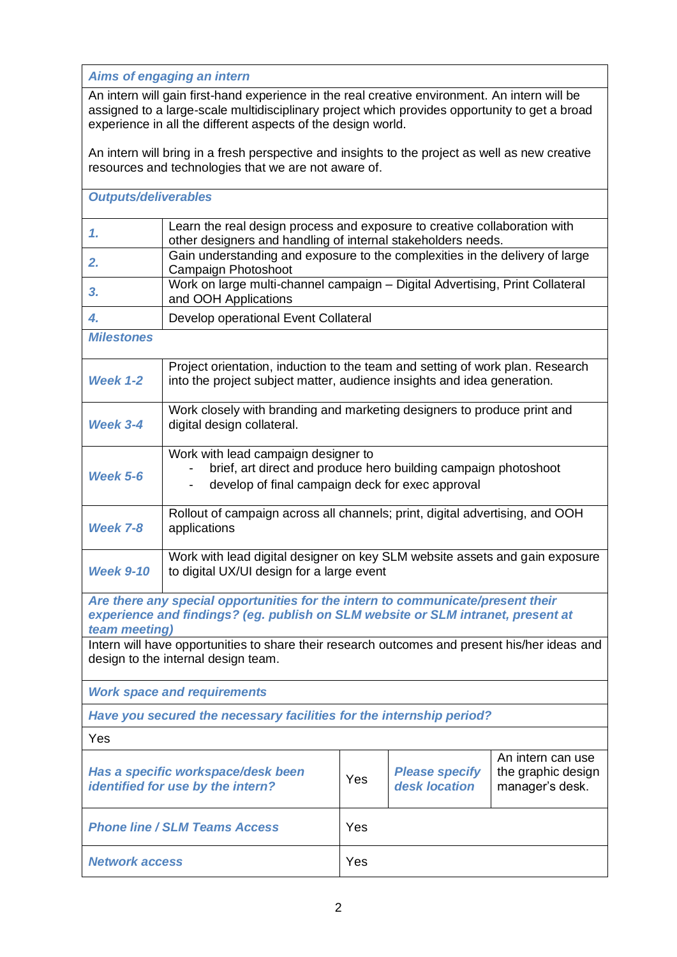*Aims of engaging an intern*

An intern will gain first-hand experience in the real creative environment. An intern will be assigned to a large-scale multidisciplinary project which provides opportunity to get a broad experience in all the different aspects of the design world.

An intern will bring in a fresh perspective and insights to the project as well as new creative resources and technologies that we are not aware of.

| <b>Outputs/deliverables</b>                                                                                                                                                          |                                                                                                                                                            |     |                                        |                                                            |  |
|--------------------------------------------------------------------------------------------------------------------------------------------------------------------------------------|------------------------------------------------------------------------------------------------------------------------------------------------------------|-----|----------------------------------------|------------------------------------------------------------|--|
| 1.                                                                                                                                                                                   | Learn the real design process and exposure to creative collaboration with<br>other designers and handling of internal stakeholders needs.                  |     |                                        |                                                            |  |
| 2.                                                                                                                                                                                   | Gain understanding and exposure to the complexities in the delivery of large<br>Campaign Photoshoot                                                        |     |                                        |                                                            |  |
| 3.                                                                                                                                                                                   | Work on large multi-channel campaign - Digital Advertising, Print Collateral<br>and OOH Applications                                                       |     |                                        |                                                            |  |
| 4.                                                                                                                                                                                   | Develop operational Event Collateral                                                                                                                       |     |                                        |                                                            |  |
| <b>Milestones</b>                                                                                                                                                                    |                                                                                                                                                            |     |                                        |                                                            |  |
| <b>Week 1-2</b>                                                                                                                                                                      | Project orientation, induction to the team and setting of work plan. Research<br>into the project subject matter, audience insights and idea generation.   |     |                                        |                                                            |  |
| Week 3-4                                                                                                                                                                             | Work closely with branding and marketing designers to produce print and<br>digital design collateral.                                                      |     |                                        |                                                            |  |
| <b>Week 5-6</b>                                                                                                                                                                      | Work with lead campaign designer to<br>brief, art direct and produce hero building campaign photoshoot<br>develop of final campaign deck for exec approval |     |                                        |                                                            |  |
| <b>Week 7-8</b>                                                                                                                                                                      | Rollout of campaign across all channels; print, digital advertising, and OOH<br>applications                                                               |     |                                        |                                                            |  |
| <b>Week 9-10</b>                                                                                                                                                                     | Work with lead digital designer on key SLM website assets and gain exposure<br>to digital UX/UI design for a large event                                   |     |                                        |                                                            |  |
| Are there any special opportunities for the intern to communicate/present their<br>experience and findings? (eg. publish on SLM website or SLM intranet, present at<br>team meeting) |                                                                                                                                                            |     |                                        |                                                            |  |
| Intern will have opportunities to share their research outcomes and present his/her ideas and<br>design to the internal design team.                                                 |                                                                                                                                                            |     |                                        |                                                            |  |
| <b>Work space and requirements</b>                                                                                                                                                   |                                                                                                                                                            |     |                                        |                                                            |  |
| Have you secured the necessary facilities for the internship period?                                                                                                                 |                                                                                                                                                            |     |                                        |                                                            |  |
| Yes                                                                                                                                                                                  |                                                                                                                                                            |     |                                        |                                                            |  |
| Has a specific workspace/desk been<br>identified for use by the intern?                                                                                                              |                                                                                                                                                            | Yes | <b>Please specify</b><br>desk location | An intern can use<br>the graphic design<br>manager's desk. |  |
| <b>Phone line / SLM Teams Access</b>                                                                                                                                                 |                                                                                                                                                            | Yes |                                        |                                                            |  |
| <b>Network access</b>                                                                                                                                                                |                                                                                                                                                            | Yes |                                        |                                                            |  |